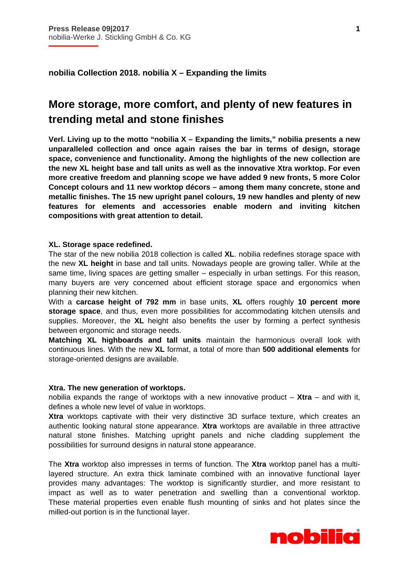i

**nobilia Collection 2018. nobilia X – Expanding the limits** 

# **More storage, more comfort, and plenty of new features in trending metal and stone finishes**

**Verl. Living up to the motto "nobilia X – Expanding the limits," nobilia presents a new unparalleled collection and once again raises the bar in terms of design, storage space, convenience and functionality. Among the highlights of the new collection are the new XL height base and tall units as well as the innovative Xtra worktop. For even more creative freedom and planning scope we have added 9 new fronts, 5 more Color Concept colours and 11 new worktop décors – among them many concrete, stone and metallic finishes. The 15 new upright panel colours, 19 new handles and plenty of new features for elements and accessories enable modern and inviting kitchen compositions with great attention to detail.** 

# **XL. Storage space redefined.**

The star of the new nobilia 2018 collection is called **XL**. nobilia redefines storage space with the new **XL height** in base and tall units. Nowadays people are growing taller. While at the same time, living spaces are getting smaller – especially in urban settings. For this reason, many buyers are very concerned about efficient storage space and ergonomics when planning their new kitchen.

With a **carcase height of 792 mm** in base units, **XL** offers roughly **10 percent more storage space**, and thus, even more possibilities for accommodating kitchen utensils and supplies. Moreover, the **XL** height also benefits the user by forming a perfect synthesis between ergonomic and storage needs.

**Matching XL highboards and tall units** maintain the harmonious overall look with continuous lines. With the new **XL** format, a total of more than **500 additional elements** for storage-oriented designs are available.

#### **Xtra. The new generation of worktops.**

nobilia expands the range of worktops with a new innovative product – **Xtra** – and with it, defines a whole new level of value in worktops.

**Xtra** worktops captivate with their very distinctive 3D surface texture, which creates an authentic looking natural stone appearance. **Xtra** worktops are available in three attractive natural stone finishes. Matching upright panels and niche cladding supplement the possibilities for surround designs in natural stone appearance.

The **Xtra** worktop also impresses in terms of function. The **Xtra** worktop panel has a multilayered structure. An extra thick laminate combined with an innovative functional layer provides many advantages: The worktop is significantly sturdier, and more resistant to impact as well as to water penetration and swelling than a conventional worktop. These material properties even enable flush mounting of sinks and hot plates since the milled-out portion is in the functional layer.

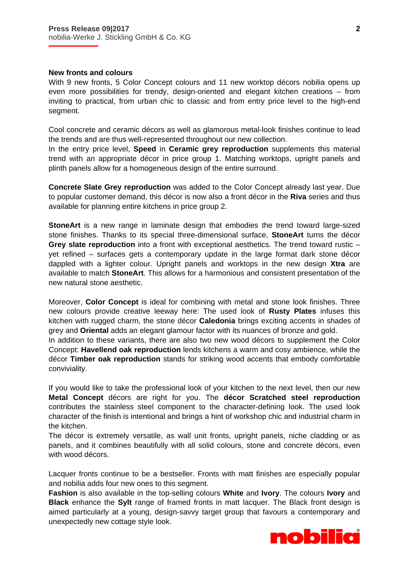# **New fronts and colours**

i

With 9 new fronts, 5 Color Concept colours and 11 new worktop décors nobilia opens up even more possibilities for trendy, design-oriented and elegant kitchen creations – from inviting to practical, from urban chic to classic and from entry price level to the high-end segment.

Cool concrete and ceramic décors as well as glamorous metal-look finishes continue to lead the trends and are thus well-represented throughout our new collection.

In the entry price level, **Speed** in **Ceramic grey reproduction** supplements this material trend with an appropriate décor in price group 1. Matching worktops, upright panels and plinth panels allow for a homogeneous design of the entire surround.

**Concrete Slate Grey reproduction** was added to the Color Concept already last year. Due to popular customer demand, this décor is now also a front décor in the **Riva** series and thus available for planning entire kitchens in price group 2.

**StoneArt** is a new range in laminate design that embodies the trend toward large-sized stone finishes. Thanks to its special three-dimensional surface, **StoneArt** turns the décor **Grey slate reproduction** into a front with exceptional aesthetics. The trend toward rustic – yet refined – surfaces gets a contemporary update in the large format dark stone décor dappled with a lighter colour. Upright panels and worktops in the new design **Xtra** are available to match **StoneArt**. This allows for a harmonious and consistent presentation of the new natural stone aesthetic.

Moreover, **Color Concept** is ideal for combining with metal and stone look finishes. Three new colours provide creative leeway here: The used look of **Rusty Plates** infuses this kitchen with rugged charm, the stone décor **Caledonia** brings exciting accents in shades of grey and **Oriental** adds an elegant glamour factor with its nuances of bronze and gold.

In addition to these variants, there are also two new wood décors to supplement the Color Concept: **Havellend oak reproduction** lends kitchens a warm and cosy ambience, while the décor **Timber oak reproduction** stands for striking wood accents that embody comfortable conviviality.

If you would like to take the professional look of your kitchen to the next level, then our new **Metal Concept** décors are right for you. The **décor Scratched steel reproduction** contributes the stainless steel component to the character-defining look. The used look character of the finish is intentional and brings a hint of workshop chic and industrial charm in the kitchen.

The décor is extremely versatile, as wall unit fronts, upright panels, niche cladding or as panels, and it combines beautifully with all solid colours, stone and concrete décors, even with wood décors.

Lacquer fronts continue to be a bestseller. Fronts with matt finishes are especially popular and nobilia adds four new ones to this segment.

**Fashion** is also available in the top-selling colours **White** and **Ivory**. The colours **Ivory** and **Black** enhance the **Sylt** range of framed fronts in matt lacquer. The Black front design is aimed particularly at a young, design-savvy target group that favours a contemporary and unexpectedly new cottage style look.

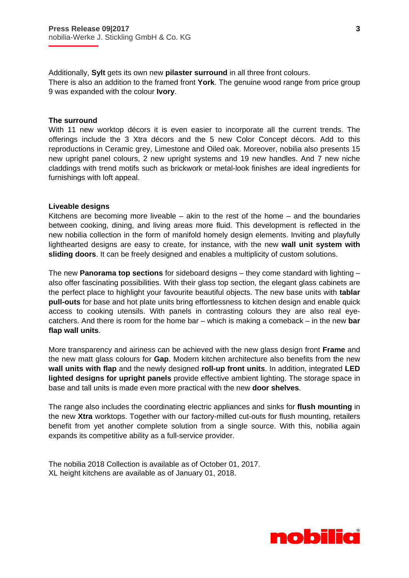Additionally, **Sylt** gets its own new **pilaster surround** in all three front colours. There is also an addition to the framed front **York**. The genuine wood range from price group 9 was expanded with the colour **Ivory**.

#### **The surround**

i

With 11 new worktop décors it is even easier to incorporate all the current trends. The offerings include the 3 Xtra décors and the 5 new Color Concept décors. Add to this reproductions in Ceramic grey, Limestone and Oiled oak. Moreover, nobilia also presents 15 new upright panel colours, 2 new upright systems and 19 new handles. And 7 new niche claddings with trend motifs such as brickwork or metal-look finishes are ideal ingredients for furnishings with loft appeal.

## **Liveable designs**

Kitchens are becoming more liveable  $-$  akin to the rest of the home  $-$  and the boundaries between cooking, dining, and living areas more fluid. This development is reflected in the new nobilia collection in the form of manifold homely design elements. Inviting and playfully lighthearted designs are easy to create, for instance, with the new **wall unit system with sliding doors**. It can be freely designed and enables a multiplicity of custom solutions.

The new **Panorama top sections** for sideboard designs – they come standard with lighting – also offer fascinating possibilities. With their glass top section, the elegant glass cabinets are the perfect place to highlight your favourite beautiful objects. The new base units with **tablar pull-outs** for base and hot plate units bring effortlessness to kitchen design and enable quick access to cooking utensils. With panels in contrasting colours they are also real eyecatchers. And there is room for the home bar – which is making a comeback – in the new **bar flap wall units**.

More transparency and airiness can be achieved with the new glass design front **Frame** and the new matt glass colours for **Gap**. Modern kitchen architecture also benefits from the new **wall units with flap** and the newly designed **roll-up front units**. In addition, integrated **LED lighted designs for upright panels** provide effective ambient lighting. The storage space in base and tall units is made even more practical with the new **door shelves**.

The range also includes the coordinating electric appliances and sinks for **flush mounting** in the new **Xtra** worktops. Together with our factory-milled cut-outs for flush mounting, retailers benefit from yet another complete solution from a single source. With this, nobilia again expands its competitive ability as a full-service provider.

The nobilia 2018 Collection is available as of October 01, 2017. XL height kitchens are available as of January 01, 2018.